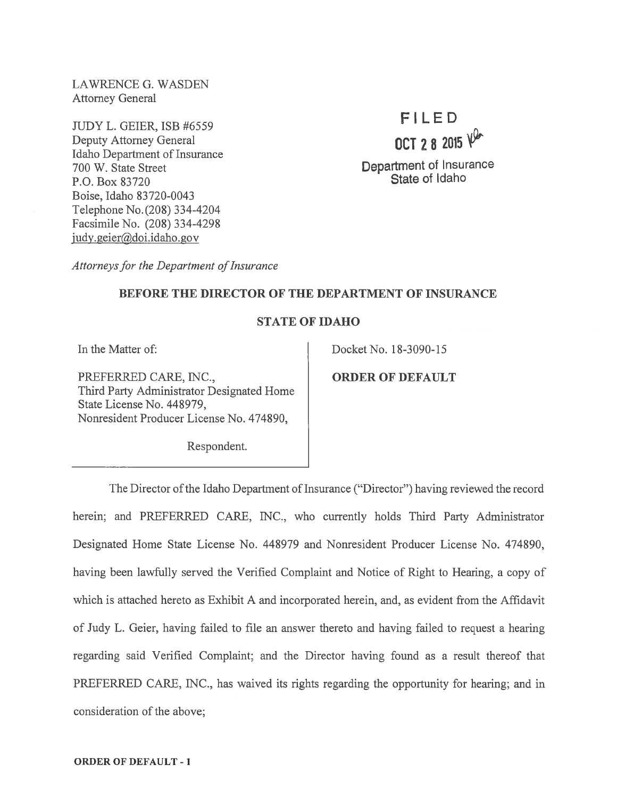LAWRENCE G. WASDEN Attorney General

JUDY L. GEIER, ISB #6559 Deputy Attorney General Idaho Department of Insurance 700 W. State Street P.O. Box 83720 Boise, Idaho 83 720-0043 Telephone No. (208) 334-4204 Facsimile No. (208) 334-4298 judy.geier@doi.idaho.gov

FILED OCT 2 8 2015 V

Department of Insurance<br>State of Idaho

Attorneys for the Department of Insurance

### BEFORE THE DIRECTOR OF THE DEPARTMENT OF INSURANCE

# STATE OF IDAHO

PREFERRED CARE, INC., **ORDER OF DEFAULT** Third Party Administrator Designated Home State License No. 448979, Nonresident Producer License No. 474890,

In the Matter of: Docket No. 18-3090-15

Respondent.

The Director of the Idaho Department of Insurance ("Director") having reviewed the record herein; and PREFERRED CARE, INC., who currently holds Third Party Administrator Designated Home State License No. 448979 and Nonresident Producer License No. 474890, having been lawfully served the Verified Complaint and Notice of Right to Hearing, <sup>a</sup> copy of which is attached hereto as Exhibit A and incorporated herein, and, as evident from the Affidavit of Judy L. Geier, having failed to file an answer thereto and having failed to reques<sup>t</sup> <sup>a</sup> hearing regarding said Verified Complaint; and the Director having found as <sup>a</sup> result thereof that PREFERRED CARE, INC., has waived its rights regarding the opportunity for hearing; and in consideration of the above;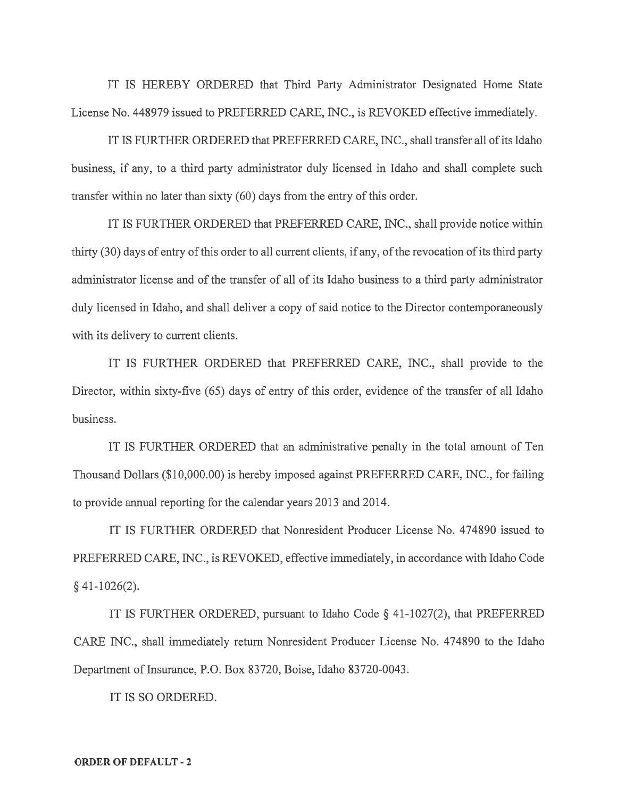IT IS HEREBY ORDERED that Third Party Administrator Designated Home State License No. 448979 issued to PREFERRED CARE, INC., is REVOKED effective immediately.

IT IS FURTHER ORDERED that PREFERRED CARE, INC., shall transfer all of its Idaho business, if any, to <sup>a</sup> third party administrator duly licensed in Idaho and shall complete such transfer within no later than sixty (60) days from the entry of this order.

IT IS FURTHER ORDERED that PREFERRED CARE, INC., shall provide notice within thirty (30) days of entry of this order to all current clients, if any, of the revocation of its third party administrator license and of the transfer of all of its Idaho business to <sup>a</sup> third party administrator duly licensed in Idaho, and shall deliver <sup>a</sup> copy of said notice to the Director contemporaneously with its delivery to current clients.

IT IS FURTHER ORDERED that PREFERRED CARE, INC., shall provide to the Director, within sixty-five (65) days of entry of this order, evidence of the transfer of all Idaho business.

IT IS FURTHER ORDERED that an administrative penalty in the total amount of Ten Thousand Dollars (\$10,000.00) is hereby imposed against PREFERRED CARE, INC., for failing to provide annual reporting for the calendar years 2013 and 2014.

IT IS FURTHER ORDERED that Nonresident Producer License No. 474890 issued to PREFERRED CARE, INC., is REVOKED, effective immediately, in accordance with Idaho Code  $§$  41-1026(2).

IT IS FURTHER ORDERED, pursuan<sup>t</sup> to Idaho Code § 41-1027(2), that PREFERRED CARE INC., shall immediately return Nonresident Producer License No. 474890 to the Idaho Department of Insurance, P.O. Box 83720, Boise, Idaho 83720-0043.

IT IS SO ORDERED.

ORDER OF DEFAULT -2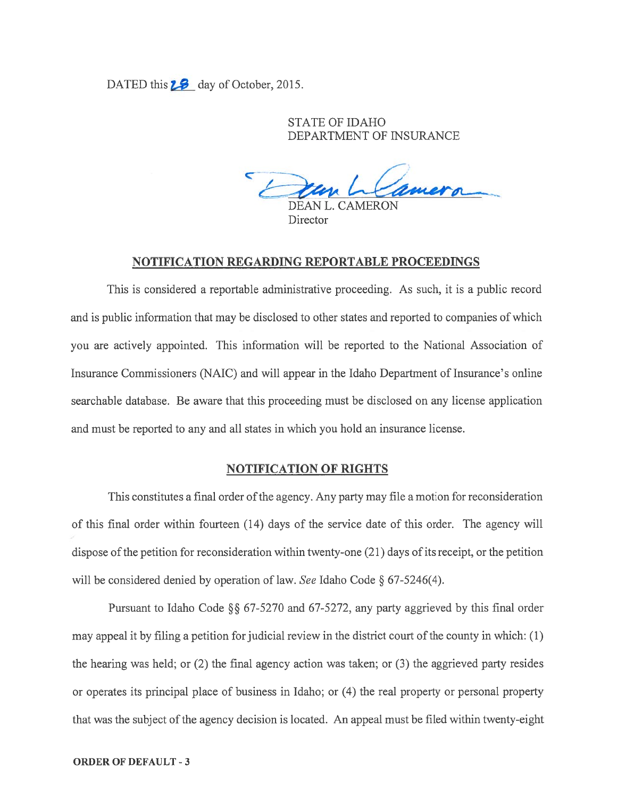# DATED this  $28$  day of October, 2015.

# STATE OF IDAHO DEPARTMENT OF INSURANCE

Lamera DEAN L. CAMERON **Director** 

#### NOTIFICATION REGARDING REPORTABLE PROCEEDINGS

This is considered <sup>a</sup> reportable administrative proceeding. As such, it is <sup>a</sup> public record and is public information that may be disclosed to other states and reported to companies of which you are actively appointed. This information will be reported to the National Association of Insurance Commissioners (NAIC) and will appear in the Idaho Department of Insurance's online searchable database. Be aware that this proceeding must be disclosed on any license application and must be reported to any and all states in which you hold an insurance license.

### NOTIFICATION OF RIGHTS

This constitutes a final order of the agency. Any party may file a motion for reconsideration of this final order within fourteen (14) days of the service date of this order. The agency will dispose of the petition for reconsideration within twenty-one (21) days of its receipt, or the petition will be considered denied by operation of law. See Idaho Code § 67-5246(4).

Pursuant to Idaho Code  $\S$ § 67-5270 and 67-5272, any party aggrieved by this final order may appeal it by filing a petition for judicial review in the district court of the county in which:  $(1)$ the hearing was held; or (2) the final agency action was taken; or (3) the aggrieved party resides or operates its principal place of business in Idaho; or (4) the real property or personal property that was the subject of the agency decision is located. An appeal must be filed within twenty-eight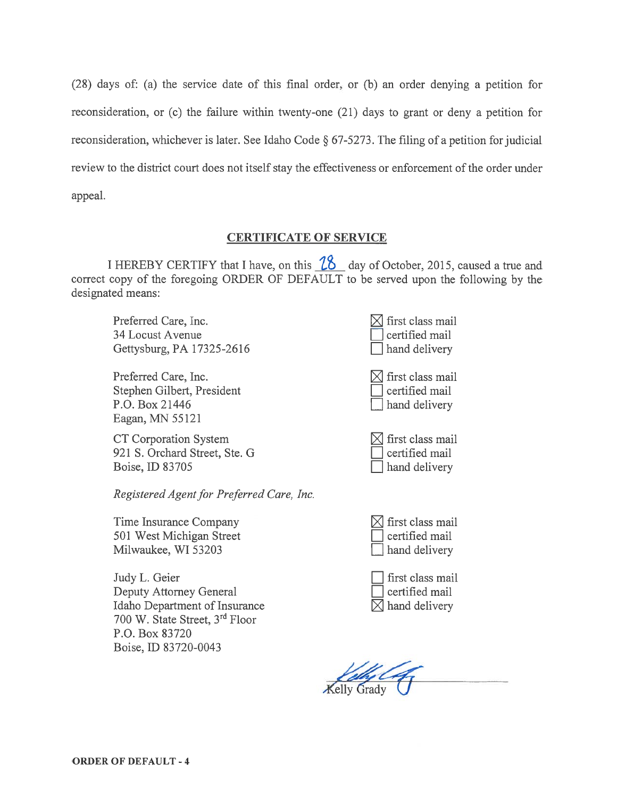(28) days of: (a) the service date of this final order, or (b) an order denying <sup>a</sup> petition for reconsideration, or (c) the failure within twenty-one (21) days to gran<sup>t</sup> or deny <sup>a</sup> petition for reconsideration, whichever is later. See Idaho Code § 67-5273. The filing of <sup>a</sup> petition for judicial review to the district court does not itself stay the effectiveness or enforcement of the order under appeal. ys of: (a) the service date of this final order, or (b) an order denying a petition for deration, or (c) the failure within twenty-one (21) days to grant or deny a petition for pudicial deration, whichever is later. See I

### CERTIFICATE OF SERVICE

correct copy of the foregoing ORDER OF DEFAULT to be served upon the following by the designated means:

| Preferred Care, Inc.                                                                                                    | first class mail                                    |
|-------------------------------------------------------------------------------------------------------------------------|-----------------------------------------------------|
| 34 Locust Avenue                                                                                                        | certified mail                                      |
| Gettysburg, PA 17325-2616                                                                                               | hand delivery                                       |
| Preferred Care, Inc.<br>Stephen Gilbert, President<br>P.O. Box 21446<br>Eagan, MN 55121                                 | first class mail<br>certified mail<br>hand delivery |
| CT Corporation System                                                                                                   | first class mail                                    |
| 921 S. Orchard Street, Ste. G                                                                                           | certified mail                                      |
| Boise, ID 83705                                                                                                         | hand delivery                                       |
| Registered Agent for Preferred Care, Inc.                                                                               |                                                     |
| Time Insurance Company                                                                                                  | first class mail                                    |
| 501 West Michigan Street                                                                                                | certified mail                                      |
| Milwaukee, WI 53203                                                                                                     | hand delivery                                       |
| Judy L. Geier<br>Deputy Attorney General<br>Idaho Department of Insurance<br>700 W. State Street, 3 <sup>rd</sup> Floor | first class mail<br>certified mail<br>hand delivery |

Kelly Grady

P.O. Box 83720

Boise, ID 83720-0043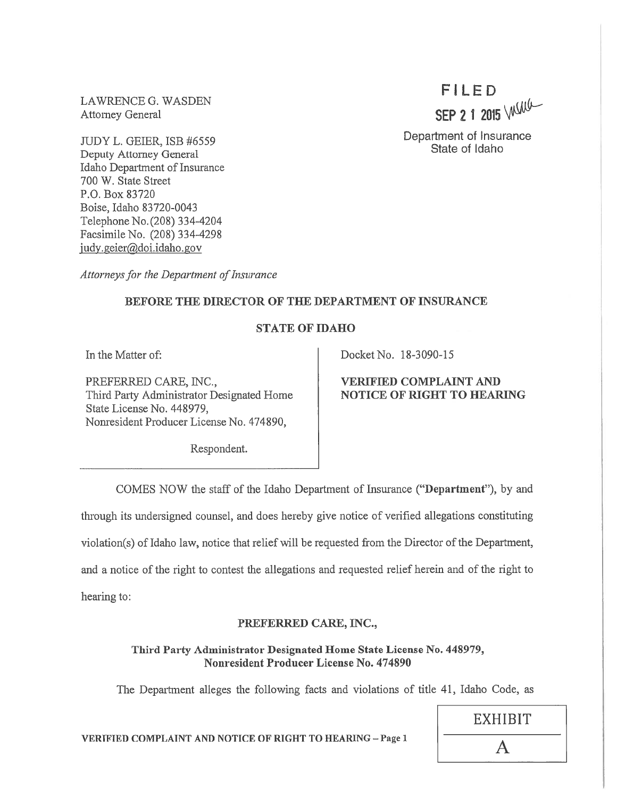LAWRENCE G. WASDEN Attorney General

JUDY L. GEJER, ISB #6559 Deputy Attorney General Idaho Department of Insurance 700 W. State Street P.O. Box 83720 Boise, Idaho 83720-0043 Telephone No. (208) 334-4204 Facsimile No. (208) 334-4298 judy.geier@doi.idaho.gov

Attorneys for the Department of Insurance

# BEFORE THE DIRECTOR OF THE DEPARTMENT OF INSURANCE

# STATE OF IDAHO

In the Matter of:

PREFERRED CARE, INC., Third Party Administrator Designated Home State License No. 448979, Nonresident Producer License No. 474890,

Docket No. 18-3090-15

### VERIFIED COMPLAINT AND NOTICE OF RIGHT TO HEARING

Respondent.

COMES NOW the staff of the Idaho Department of Insurance ("Department"), by and

through its undersigned counsel, and does hereby give notice of verified allegations constituting

violation(s) of Idaho law, notice that relief will be requested from the Director of the Department,

and <sup>a</sup> notice of the right to contest the allegations and requested relief herein and of the right to

hearing to:

# PREFERRED CARE, INC.,

# Third Party Administrator Designated Home State License No. 448979, Nonresident Producer License No. 474890

The Department alleges the following facts and violations of title 41, Idaho Code, as

VERIFIED COMPLAINT AND NOTICE OF RIGHT TO HEARING -Page 1

Department of Insurance State of Idaho

FILED SEP 2 1 2015 WILL

EXHIBIT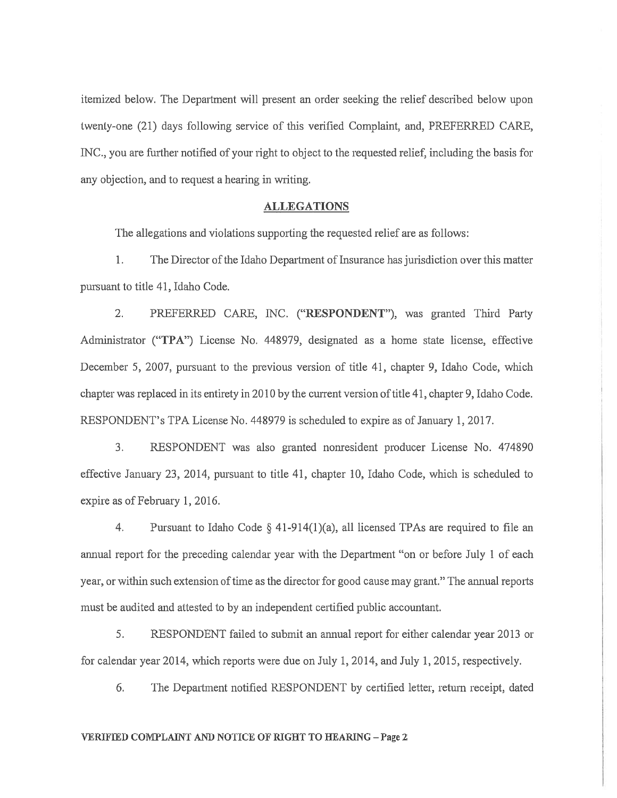itemized below. The Department will presen<sup>t</sup> an order seeking the relief described below upon twenty-one (21) days following service of this verified Complaint, and, PREFERRED CARE, INC., you are ftirther notified of your right to object to the requested relief, including the basis for any objection, and to reques<sup>t</sup> <sup>a</sup> hearing in writing.

### ALLEGATIONS

The allegations and violations supporting the requested relief are as follows:

1. The Director ofthe Idaho Department of Insurance has jurisdiction over this matter pursuan<sup>t</sup> to title 41, Idaho Code.

2. PREFERRED CARE, INC. ("RESPONDENT"), was granted Third Party Administrator ("TPA") License No. 448979, designated as <sup>a</sup> home state license, effective December 5, 2007, pursuan<sup>t</sup> to the previous version of title 41, chapter 9, Idaho Code, which chapter was replaced in its entirety in 2010 by the current version of title 41, chapter 9, Idaho Code. RESPONDENT's TPA License No. 448979 is scheduled to expire as of January 1, 2017.

3. RESPONDENT was also granted nonresident producer License No. 474890 effective January 23, 2014, pursuan<sup>t</sup> to title 41, chapter 10, Idaho Code, which is scheduled to expire as of February 1, 2016.

4. Pursuant to Idaho Code  $\S$  41-914(1)(a), all licensed TPAs are required to file an annual repor<sup>t</sup> for the preceding calendar year with the Department "on or before July 1 of each year, or within such extension of time as the director for good cause may grant." The annual reports must be audited and attested to by an independent certified public accountant.

5. RESPONDENT failed to submit an annual repor<sup>t</sup> for either calendar year 2013 or for calendar year 2014, which reports were due on July 1, 2014, and July 1, 2015, respectively.

6. The Department notified RESPONDENT by certified letter, return receipt, dated

#### VERIFIED COMPLAINT AND NOTICE OF RIGHT TO HEARING - Page 2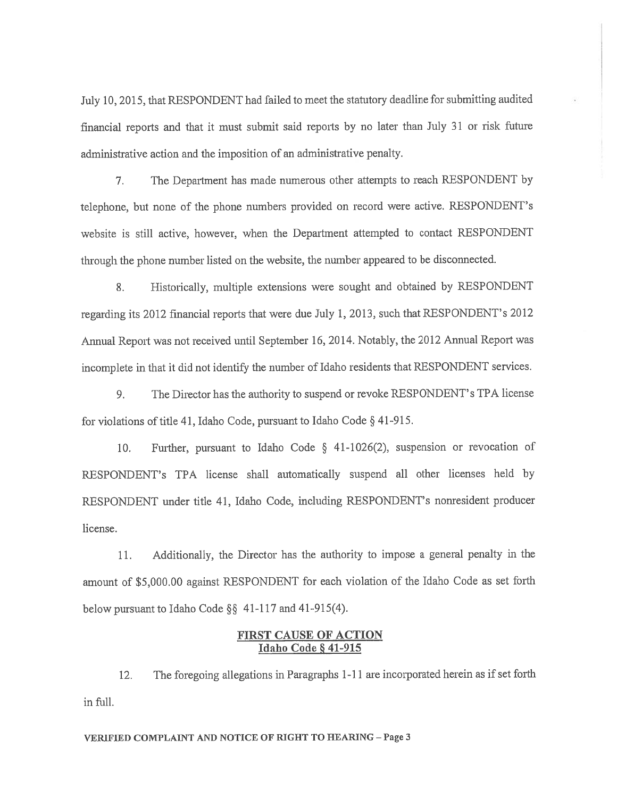July 10, 2015, that RESPONDENT had failed to meet the statutory deadline for submitting audited financial reports and that it must submit said reports by no later than July <sup>31</sup> or risk future administrative action and the imposition of an administrative penalty.

7. The Department has made numerous other attempts to reach RESPONDENT by telephone, but none of the <sup>p</sup>hone numbers provided on record were active. RESPONDENT's website is still active, however, when the Department attempted to contact RESPONDENT through the <sup>p</sup>hone number listed on the website, the number appeare<sup>d</sup> to be disconnected.

8. Historically, multiple extensions were sought and obtained by RESPONDENT regarding its <sup>2012</sup> financial reports that were due July 1, 2013, such that RESPONDENT's <sup>2012</sup> Annual Report was not received until September 16, 2014. Notably, the <sup>2012</sup> Annual Report was incomplete in that it did not identify the number of Idaho residents that RESPONDENT services.

9. The Director has the authority to suspend or revoke RESPONDENT's TPA license for violations of title 41, Idaho Code, pursuant to Idaho Code  $\S$  41-915.

10. Further, pursuan<sup>t</sup> to Idaho Code § 41-1026(2), suspension or revocation of RESPONDENT's TPA license shall automatically suspend all other licenses held by RESPONDENT under title 41, Idaho Code, including RESPONDENT's nonresident producer license.

11. Additionally, the Director has the authority to impose <sup>a</sup> genera<sup>l</sup> penalty in the amount of \$5,000.00 against RESPONDENT for each violation of the Idaho Code as set forth below pursuant to Idaho Code  $\S$ § 41-117 and 41-915(4).

#### FIRST CAUSE OF ACTION Idaho Code § 41-915

12. The foregoing allegations in Paragraphs 1-1 <sup>1</sup> are incorporated herein as if set forth in full.

#### VERIFIED COMPLAINT AND NOTICE OF RIGHT TO HEARING - Page 3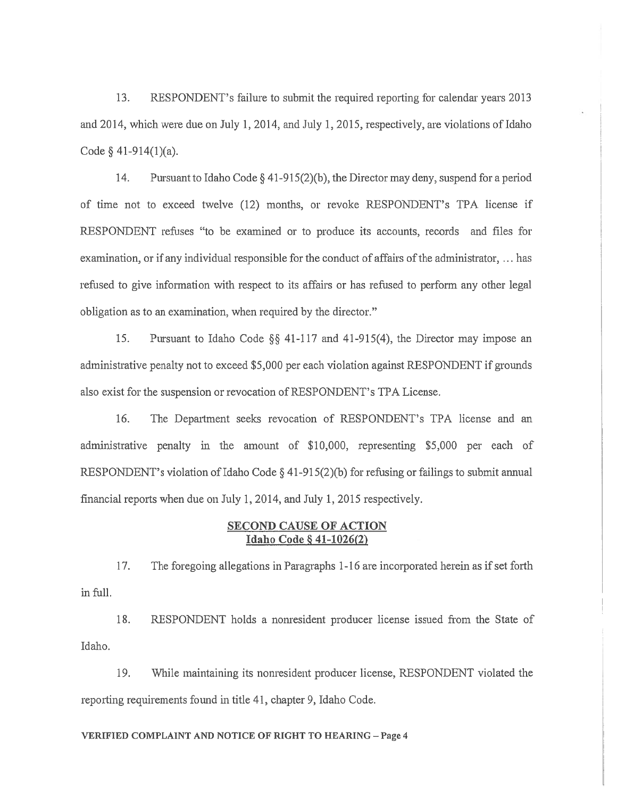13. RESPONDENT's failure to submit the required reporting for calendar years 2013 and 2014, which were due on July 1, 2014, and July 1, 2015, respectively, are violations of Idaho Code  $§$  41-914(1)(a).

14. Pursuant to Idaho Code § 41-915(2)(b), the Director may deny, suspend for a period of time not to exceed twelve (12) months, or revoke RESPONDENT's TPA license if RESPONDENT refuses "to be examined or to produce its accounts, records and files for examination, or if any individual responsible for the conduct of affairs of the administrator, ... has refused to give information with respec<sup>t</sup> to its affairs or has refused to perform any other legal obligation as to an examination, when required by the director."

15. Pursuant to Idaho Code §§ 41-117 and 41-915(4), the Director may impose an administrative penalty not to exceed \$5,000 per each violation against RESPONDENT if grounds also exist for the suspension or revocation of RESPONDENT's TPA License.

16. The Department seeks revocation of RESPONDENT's TPA license and an administrative penalty in the amount of \$10,000, representing \$5,000 per each of RESPONDENT's violation of Idaho Code  $\S$  41-915(2)(b) for refusing or failings to submit annual financial reports when due on July 1, 2014, and July 1, 2015 respectively.

#### SECOND CAUSE OF ACTION Idaho Code § 41-1026(2)

17. The foregoing allegations in Paragraphs 1-16 are incorporated herein as if set forth in full.

18. RESPONDENT holds <sup>a</sup> nonresident producer license issued from the State of Idaho.

19. While maintaining its nonresident producer license, RESPONDENT violated the reporting requirements found in title 41, chapter 9, Idaho Code.

#### VERIFIED COMPLAINT AND NOTICE OF RIGHT TO HEARING - Page 4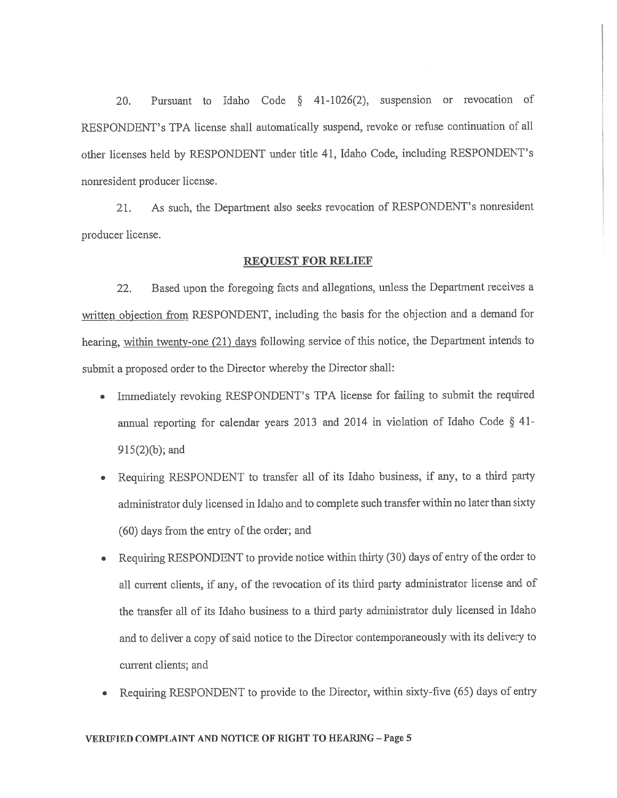20. Pursuant to Idaho Code § 41-1026(2), suspension or revocation of RESPONDENT's TPA license shall automatically suspend, revoke or refuse continuation of all other licenses held by RESPONDENT under title 41, Idaho Code, including RESPONDENT's nonresident producer license.

21. As such, the Department also seeks revocation of RESPONDENT's nonresident producer license.

#### REQUEST FOR RELIEF

22. Based upon the foregoing facts and allegations, unless the Department receives <sup>a</sup> written objection from RESPONDENT, including the basis for the objection and <sup>a</sup> demand for hearing, within twenty-one (21) days following service of this notice, the Department intends to submit <sup>a</sup> propose<sup>d</sup> order to the Director whereby the Director shall:

- Immediately revoking RESPONDENT's TPA license for failing to submit the required annual reporting for calendar years <sup>2013</sup> and <sup>2014</sup> in violation of Idaho Code § 41- 915(2)(b); and
- • Requiring RESPONDENT to transfer all of its Idaho business, if any, to <sup>a</sup> third party administrator duly licensed in Idaho and to complete such transfer within no later than sixty (60) days from the entry of the order; and
- •Requiring RESPONDENT to provide notice within thirty (30) days of entry of the order to all current clients, if any, of the revocation of its third party administrator license and of the transfer all of its Idaho business to <sup>a</sup> third party administrator duly licensed in Idaho and to deliver <sup>a</sup> copy of said notice to the Director contemporaneously with its delivery to current clients; and
- •Requiring RESPONDENT to provide to the Director, within sixty-five (65) days of entry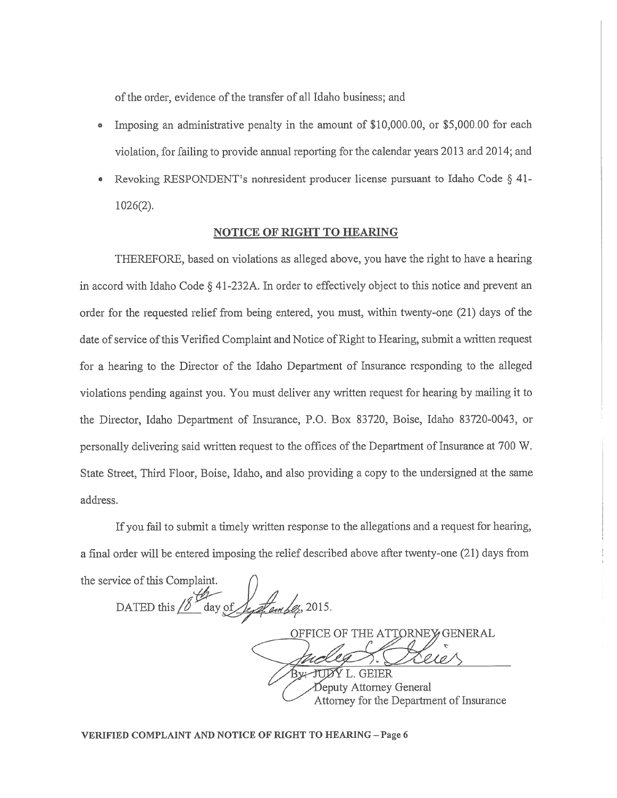of the order, evidence of the transfer of all Idaho business; and

- • Imposing an administrative penalty in the amount of \$10,000.00, or \$5,000.00 for each violation, for failing to provide annual reporting for the calendar years 2013 and 2014; and
- Revoking RESPONDENT's notices ident producer license pursuant to Idaho Code  $\S$  41-1026(2).

#### NOTICE OF RIGHT TO HEARING

THEREFORE, based on violations as alleged above, you have the right to have <sup>a</sup> hearing in accord with Idaho Code § 41-232A. In order to effectively object to this notice and preven<sup>t</sup> an order for the requested relief from being entered, you must, within twenty-one (21) days of the date of service of this Verified Complaint and Notice of Right to Hearing, submit a written request for <sup>a</sup> hearing to the Director of the Idaho Department of Insurance responding to the alleged violations pending against you. You must deliver any written reques<sup>t</sup> for hearing by mailing it to the Director, Idaho Department of Insurance, P.O. Box 83720, Boise, Idaho 83720-0043, or personally delivering said written request to the offices of the Department of Insurance at 700 W. State Street, Third Floor, Boise, Idaho, and also providing <sup>a</sup> copy to the undersigned at the same address.

If you fail to submit <sup>a</sup> timely written response to the allegations and <sup>a</sup> reques<sup>t</sup> for hearing, <sup>a</sup> final order will be entered imposing the relief described above after twenty-one (21) days from the service of this Complaint.

DATED this  $/8$  day of *Le al ambe*, 2015.

OFFICE OF THE ATTORNEY GENERAL

L. GEIER Seputy Attorney General Attorney for the Department of Insurance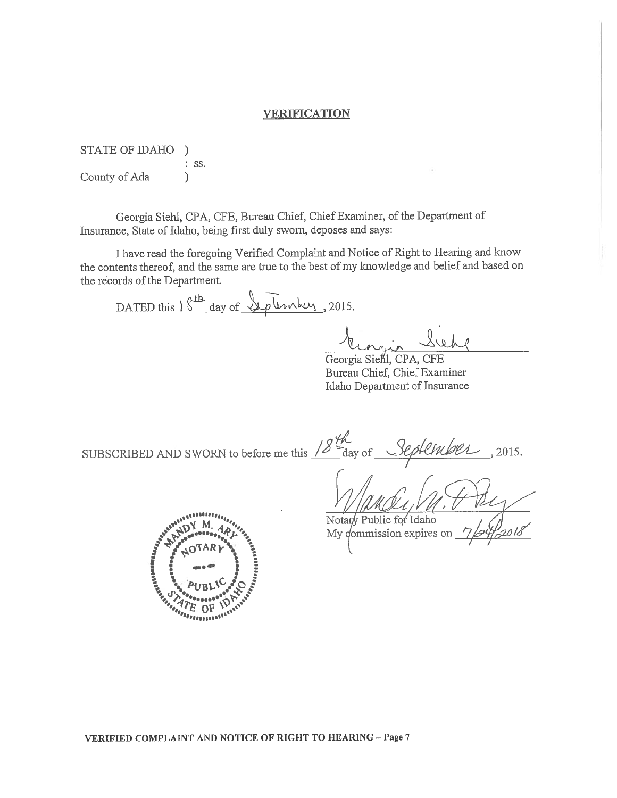#### VERIFICATION

STATE OF IDAHO ) ss. County of Ada (b)

Georgia Siehl, CPA, CFE, Bureau Chief, Chief Examiner, of the Department of Insurance, State of Idaho, being first duly sworn, deposes and says:

<sup>I</sup> have read the foregoing Verified Complaint and Notice of Right to Hearing and know the contents thereof, and the same are true to the best of my knowledge and belief and based on the records of the Department.

DATED this 18th day of Septenbers, 2015.

Georgia Siehl, CPA, CFE Bureau Chief, Chief Examiner Idaho Department of Insurance

SUBSCRIBED AND SWORN to before me this  $\frac{18}{3}$  day of September 2015.

PUBLIC of VIRTUE OF VIRTUE

Notary Public for Idaho My dommission expires on